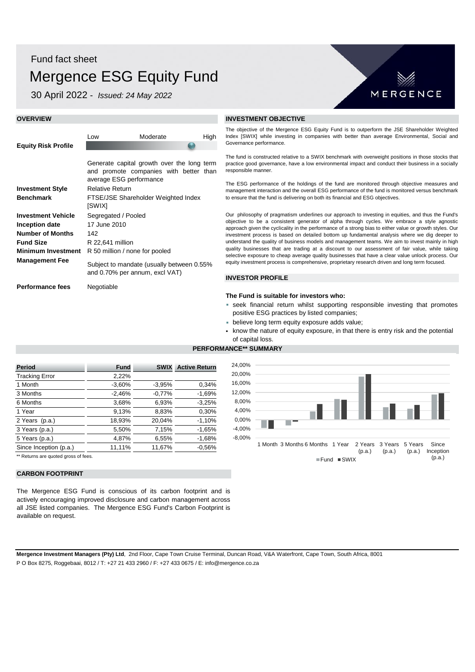# Fund fact sheet Mergence ESG Equity Fund

30 April 2022 - *Issued: 24 May 2022*

Low Moderate High

Generate capital growth over the long term and promote companies with better than

FTSE/JSE Shareholder Weighted Index

Subject to mandate (usually between 0.55%

and 0.70% per annum, excl VAT)

average ESG performance



# **OVERVIEW INVESTMENT OBJECTIVE**

The objective of the Mergence ESG Equity Fund is to outperform the JSE Shareholder Weighted Index [SWIX] while investing in companies with better than average Environmental, Social and Governance performance.

The fund is constructed relative to a SWIX benchmark with overweight positions in those stocks that practice good governance, have a low environmental impact and conduct their business in a socially responsible manner.

The ESG performance of the holdings of the fund are monitored through objective measures and management interaction and the overall ESG performance of the fund is monitored versus benchmark to ensure that the fund is delivering on both its financial and ESG objectives.

Our philosophy of pragmatism underlines our approach to investing in equities, and thus the Fund's objective to be a consistent generator of alpha through cycles. We embrace a style agnostic approach given the cyclicality in the performance of a strong bias to either value or growth styles. Our investment process is based on detailed bottom up fundamental analysis where we dig deeper to understand the quality of business models and management teams. We aim to invest mainly in high quality businesses that are trading at a discount to our assessment of fair value, while taking selective exposure to cheap average quality businesses that have a clear value unlock process. Our equity investment process is comprehensive, proprietary research driven and long term focused.

# **INVESTOR PROFILE**

**PERFORMANCE\*\* SUMMARY**

## **The Fund is suitable for investors who:**

- seek financial return whilst supporting responsible investing that promotes positive ESG practices by listed companies;
- believe long term equity exposure adds value;
- know the nature of equity exposure, in that there is entry risk and the potential of capital loss.

# **Period Fund SWIX Active Return** Tracking Error 2,22% 1 Month -3,60% -3,95% 0,34% 3 Months -2,46% -0,77% -1,69% 6 Months 3,68% 6,93% -3,25% 1 Year 9,13% 8,83% 0,30% 2 Years (p.a.) 18,93% 20,04% -1,10% 3 Years (p.a.) 5,50% 7,15% -1,65% 5 Years (p.a.) 4,87% 6,55% -1,68% Since Inception (p.a.) 11,11% 11,67% -0,56% \*\* Returns are quoted gross of fees

**CARBON FOOTPRINT**

**Equity Risk Profile**

**Benchmark**

**Investment Style** Relative Return

**Number of Months** 142

**Management Fee**

**Investment Vehicle** Segregated / Pooled **Inception date** 17 June 2010

**Minimum Investment** R 50 million / none for pooled

[SWIX]

**Fund Size** R 22,641 million

**Performance fees** Negotiable

The Mergence ESG Fund is conscious of its carbon footprint and is actively encouraging improved disclosure and carbon management across all JSE listed companies. The Mergence ESG Fund's Carbon Footprint is available on request.



**Mergence Investment Managers (Pty) Ltd**, 2nd Floor, Cape Town Cruise Terminal, Duncan Road, V&A Waterfront, Cape Town, South Africa, 8001 P O Box 8275, Roggebaai, 8012 / T: +27 21 433 2960 / F: +27 433 0675 / E: info@mergence.co.za